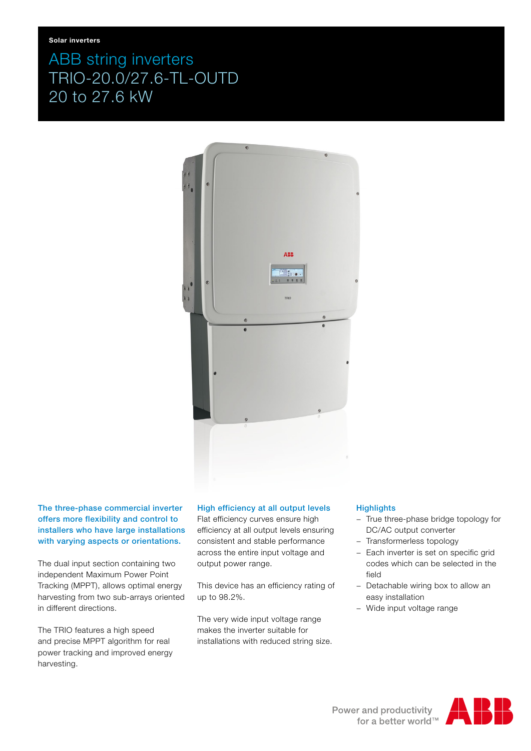# ABB string inverters TRIO-20.0/27.6-TL-OUTD 20 to 27.6 kW



The three-phase commercial inverter offers more flexibility and control to installers who have large installations with varying aspects or orientations.

The dual input section containing two independent Maximum Power Point Tracking (MPPT), allows optimal energy harvesting from two sub-arrays oriented in different directions.

The TRIO features a high speed and precise MPPT algorithm for real power tracking and improved energy harvesting.

# High efficiency at all output levels

Flat efficiency curves ensure high efficiency at all output levels ensuring consistent and stable performance across the entire input voltage and output power range.

This device has an efficiency rating of up to 98.2%.

The very wide input voltage range makes the inverter suitable for installations with reduced string size.

### **Highlights**

- − True three-phase bridge topology for DC/AC output converter
- − Transformerless topology
- − Each inverter is set on specific grid codes which can be selected in the field
- − Detachable wiring box to allow an easy installation
- − Wide input voltage range

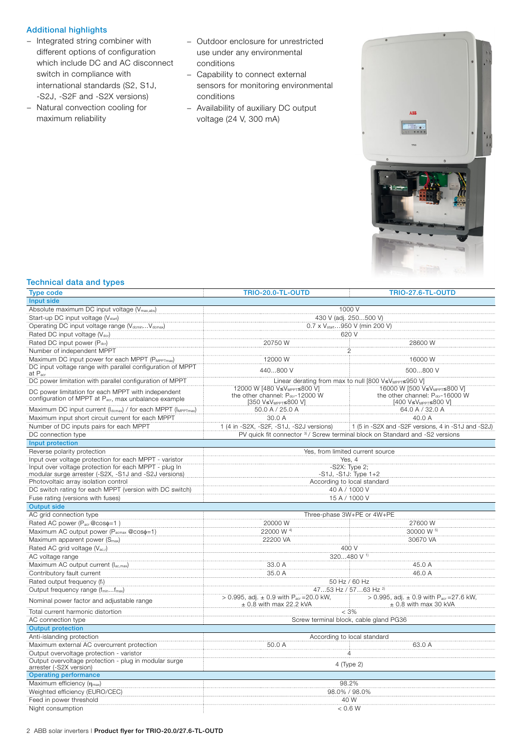#### Additional highlights

- − Integrated string combiner with different options of configuration which include DC and AC disconnect switch in compliance with international standards (S2, S1J, -S2J, -S2F and -S2X versions)
- − Natural convection cooling for maximum reliability
- − Outdoor enclosure for unrestricted use under any environmental conditions
- − Capability to connect external sensors for monitoring environmental conditions
- − Availability of auxiliary DC output voltage (24 V, 300 mA)



## Technical data and types

| <b>Type code</b>                                                                  | <b>TRIO-20.0-TL-OUTD</b>                                                                      | <b>TRIO-27.6-TL-OUTD</b>                                                              |  |
|-----------------------------------------------------------------------------------|-----------------------------------------------------------------------------------------------|---------------------------------------------------------------------------------------|--|
| Input side                                                                        |                                                                                               |                                                                                       |  |
| Absolute maximum DC input voltage (V <sub>max,abs</sub> )<br>1000 V               |                                                                                               |                                                                                       |  |
| Start-up DC input voltage (V <sub>start</sub> )                                   | 430 V (adj. 250500 V)                                                                         |                                                                                       |  |
| Operating DC input voltage range (VdcminVdcmax)                                   | 0.7 x V <sub>start</sub> 950 V (min 200 V)                                                    |                                                                                       |  |
| Rated DC input voltage (Vdcr)                                                     | 620 V                                                                                         |                                                                                       |  |
| Rated DC input power (Pdcr)                                                       | 20750 W                                                                                       | 28600 W                                                                               |  |
| Number of independent MPPT                                                        |                                                                                               |                                                                                       |  |
| Maximum DC input power for each MPPT (PMPPTmax)                                   | 12000 W                                                                                       | 16000 W                                                                               |  |
| DC input voltage range with parallel configuration of MPPT<br>at P <sub>acr</sub> | 440800 V                                                                                      | 500800 V                                                                              |  |
| DC power limitation with parallel configuration of MPPT                           | Linear derating from max to null [800 V≤V <sub>MPPT</sub> ≤950 V]                             |                                                                                       |  |
| DC power limitation for each MPPT with independent                                | 12000 W [480 V≤VMPPT≤800 V]                                                                   | 16000 W (500 V≤V <sub>MPPT</sub> ≤800 V)                                              |  |
| configuration of MPPT at P <sub>acr</sub> , max unbalance example                 | the other channel: $P_{\text{der}}$ -12000 W<br>[350 V≤V <sub>MPPT</sub> ≤800 V]              | the other channel: Pdcr-16000 W<br>[400 V≤V <sub>MPPT</sub> ≤800 V]                   |  |
| Maximum DC input current (Idcmax) / for each MPPT (IMPPTmax)                      | 50.0 A / 25.0 A                                                                               | 64.0 A / 32.0 A                                                                       |  |
| Maximum input short circuit current for each MPPT                                 | 30.0 A                                                                                        | 40.0 A                                                                                |  |
| Number of DC inputs pairs for each MPPT                                           | 1 (4 in -S2X, -S2F, -S1J, -S2J versions)                                                      | 1 (5 in -S2X and -S2F versions, 4 in -S1J and -S2J)                                   |  |
| DC connection type                                                                | PV quick fit connector 3) / Screw terminal block on Standard and -S2 versions                 |                                                                                       |  |
| Input protection                                                                  |                                                                                               |                                                                                       |  |
| Reverse polarity protection                                                       | Yes, from limited current source                                                              |                                                                                       |  |
| Input over voltage protection for each MPPT - varistor                            | Yes, 4                                                                                        |                                                                                       |  |
| Input over voltage protection for each MPPT - plug In                             | $-S2X:$ Type $2:$                                                                             |                                                                                       |  |
| modular surge arrester (-S2X, -S1J and -S2J versions)                             | -S1J, -S1J: Type 1+2                                                                          |                                                                                       |  |
| Photovoltaic array isolation control                                              | According to local standard                                                                   |                                                                                       |  |
| DC switch rating for each MPPT (version with DC switch)                           | 40 A / 1000 V                                                                                 |                                                                                       |  |
| Fuse rating (versions with fuses)                                                 | 15 A / 1000 V                                                                                 |                                                                                       |  |
| <b>Output side</b>                                                                |                                                                                               |                                                                                       |  |
|                                                                                   | Three-phase 3W+PE or 4W+PE                                                                    |                                                                                       |  |
| AC grid connection type                                                           |                                                                                               |                                                                                       |  |
| Rated AC power (Pacr@coso=1)                                                      | 20000W                                                                                        | 27600 W                                                                               |  |
| Maximum AC output power (P <sub>acmax</sub> @coso=1)                              | 22000 W 4)                                                                                    | 30000 W 5)                                                                            |  |
| Maximum apparent power (S <sub>max</sub> )                                        | 22200 VA                                                                                      | 30670 VA                                                                              |  |
| Rated AC grid voltage (Vac,r)                                                     | 400 V                                                                                         |                                                                                       |  |
| AC voltage range                                                                  | 320480 V <sup>1)</sup>                                                                        |                                                                                       |  |
| Maximum AC output current (lac,max)                                               | 33.0 A                                                                                        | 45.0 A                                                                                |  |
| Contributory fault current                                                        | 35.0 A                                                                                        | 46.0 A                                                                                |  |
| Rated output frequency (fr)                                                       | 50 Hz / 60 Hz                                                                                 |                                                                                       |  |
| Output frequency range (fminfmax)                                                 | 4753 Hz / 5763 Hz <sup>2)</sup>                                                               |                                                                                       |  |
| Nominal power factor and adjustable range                                         | > 0.995, adj. $\pm$ 0.9 with P <sub>acr</sub> = 20.0 kW, $\pm$<br>$\pm$ 0.8 with max 22.2 kVA | > 0.995, adj. $\pm$ 0.9 with P <sub>acr</sub> = 27.6 kW,<br>$\pm$ 0.8 with max 30 kVA |  |
| Total current harmonic distortion                                                 | $< 3\%$                                                                                       |                                                                                       |  |
| AC connection type                                                                | Screw terminal block, cable gland PG36                                                        |                                                                                       |  |
| <b>Output protection</b>                                                          |                                                                                               |                                                                                       |  |
| Anti-islanding protection                                                         | According to local standard                                                                   |                                                                                       |  |
| Maximum external AC overcurrent protection                                        | 50.0 A                                                                                        | 63.0 A                                                                                |  |
| Output overvoltage protection - varistor                                          | 4                                                                                             |                                                                                       |  |
| Output overvoltage protection - plug in modular surge                             | 4 (Type 2)                                                                                    |                                                                                       |  |
| arrester (-S2X version)                                                           |                                                                                               |                                                                                       |  |
| <b>Operating performance</b>                                                      |                                                                                               |                                                                                       |  |
| Maximum efficiency (η <sub>max</sub> )                                            | 98.2%                                                                                         |                                                                                       |  |
| Weighted efficiency (EURO/CEC)                                                    | 98.0% / 98.0%                                                                                 |                                                                                       |  |
| Feed in power threshold<br>Night consumption                                      | 40 W<br>< 0.6 W                                                                               |                                                                                       |  |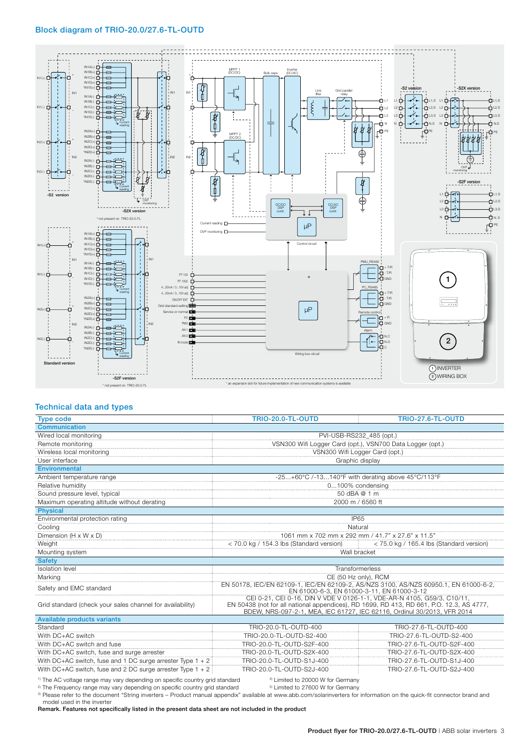#### Block diagram of TRIO-20.0/27.6-TL-OUTD



#### Technical data and types

| <b>Type code</b>                                             | <b>TRIO-20.0-TL-OUTD</b>                                                                                                                                            | <b>TRIO-27.6-TL-OUTD</b>  |  |  |
|--------------------------------------------------------------|---------------------------------------------------------------------------------------------------------------------------------------------------------------------|---------------------------|--|--|
| <b>Communication</b>                                         |                                                                                                                                                                     |                           |  |  |
| Wired local monitoring                                       | PVI-USB-RS232_485 (opt.)                                                                                                                                            |                           |  |  |
| Remote monitoring                                            | VSN300 Wifi Logger Card (opt.), VSN700 Data Logger (opt.)                                                                                                           |                           |  |  |
| Wireless local monitoring                                    | VSN300 Wifi Logger Card (opt.)                                                                                                                                      |                           |  |  |
| User interface                                               | Graphic display                                                                                                                                                     |                           |  |  |
| <b>Environmental</b>                                         |                                                                                                                                                                     |                           |  |  |
| Ambient temperature range                                    | -25+60°C /-13140°F with derating above 45°C/113°F                                                                                                                   |                           |  |  |
| Relative humidity                                            | 0100% condensing                                                                                                                                                    |                           |  |  |
| Sound pressure level, typical                                | 50 dBA @ 1 m                                                                                                                                                        |                           |  |  |
| Maximum operating altitude without derating                  | 2000 m / 6560 ft                                                                                                                                                    |                           |  |  |
| <b>Physical</b>                                              |                                                                                                                                                                     |                           |  |  |
| Environmental protection rating                              | <b>IP65</b>                                                                                                                                                         |                           |  |  |
| Cooling                                                      | Natural                                                                                                                                                             |                           |  |  |
| <u>Dimension (H x W x D)</u><br>Dimension (H x W x D)        | 1061 mm x 702 mm x 292 mm / 41.7" x 27.6" x 11.5"                                                                                                                   |                           |  |  |
| <b>Weight</b>                                                | <70.0 kg / 154.3 lbs (Standard version) <75.0 kg / 165.4 lbs (Standard version)                                                                                     |                           |  |  |
| Mounting system                                              | Wall bracket                                                                                                                                                        |                           |  |  |
| <b>Safety</b>                                                |                                                                                                                                                                     |                           |  |  |
| <b>Isolation</b> level                                       | Transformerless                                                                                                                                                     |                           |  |  |
| Marking                                                      | CE (50 Hz only), RCM                                                                                                                                                |                           |  |  |
| Safety and EMC standard                                      | EN 50178, IEC/EN 62109-1, IEC/EN 62109-2, AS/NZS 3100, AS/NZS 60950.1, EN 61000-6-2,<br>EN 61000-6-3. EN 61000-3-11. EN 61000-3-12                                  |                           |  |  |
|                                                              | CEI 0-21, CEI 0-16, DIN V VDE V 0126-1-1, VDE-AR-N 4105, G59/3, C10/11,                                                                                             |                           |  |  |
| Grid standard (check your sales channel for availability)    | EN 50438 (not for all national appendices), RD 1699, RD 413, RD 661, P.O. 12.3, AS 4777,<br>BDEW, NRS-097-2-1, MEA, IEC 61727, IEC 62116, Ordinul 30/2013, VFR 2014 |                           |  |  |
| <b>Available products variants</b>                           |                                                                                                                                                                     |                           |  |  |
| Standard                                                     | TRIO-20.0-TL-OUTD-400                                                                                                                                               | TRIO-27.6-TL-OUTD-400     |  |  |
| With DC+AC switch                                            | TRIO-20.0-TL-OUTD-S2-400                                                                                                                                            | TRIO-27.6-TL-OUTD-S2-400  |  |  |
| With DC+AC switch and fuse                                   | TRIO-20.0-TL-OUTD-S2F-400                                                                                                                                           | TRIO-27.6-TL-OUTD-S2F-400 |  |  |
| With DC+AC switch, fuse and surge arrester                   | TRIO-20.0-TL-OUTD-S2X-400                                                                                                                                           | TRIO-27.6-TL-OUTD-S2X-400 |  |  |
| With DC+AC switch, fuse and 1 DC surge arrester Type $1 + 2$ | TRIO-20.0-TL-OUTD-S1J-400                                                                                                                                           | TRIO-27.6-TL-OUTD-S1J-400 |  |  |
| With DC+AC switch, fuse and 2 DC surge arrester Type $1 + 2$ | TRIO-20.0-TL-OUTD-S2J-400                                                                                                                                           | TRIO-27.6-TL-OUTD-S2J-400 |  |  |

<sup>1)</sup> The AC voltage range may vary depending on specific country grid standard  $4)$  Limited to 20000 W for Germany and the Frequency range may vary depending on specific country grid standard  $4)$  Limited to 27600 W for G <sup>2)</sup> The Frequency range may vary depending on specific country grid standard

3) Please refer to the document "String inverters – Product manual appendix" available at www.abb.com/solarinverters for information on the quick-fit connector brand and model used in the inverter

Remark. Features not specifically listed in the present data sheet are not included in the product